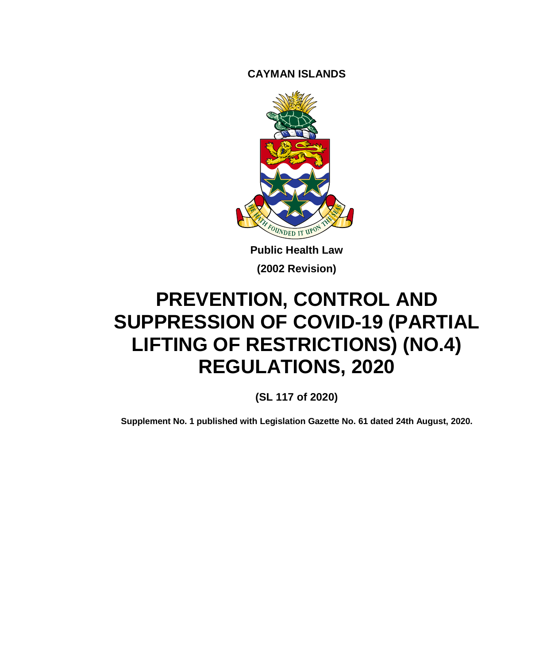**CAYMAN ISLANDS**



**Public Health Law (2002 Revision)**

# **PREVENTION, CONTROL AND SUPPRESSION OF COVID-19 (PARTIAL LIFTING OF RESTRICTIONS) (NO.4) REGULATIONS, 2020**

**(SL 117 of 2020)**

**Supplement No. 1 published with Legislation Gazette No. 61 dated 24th August, 2020.**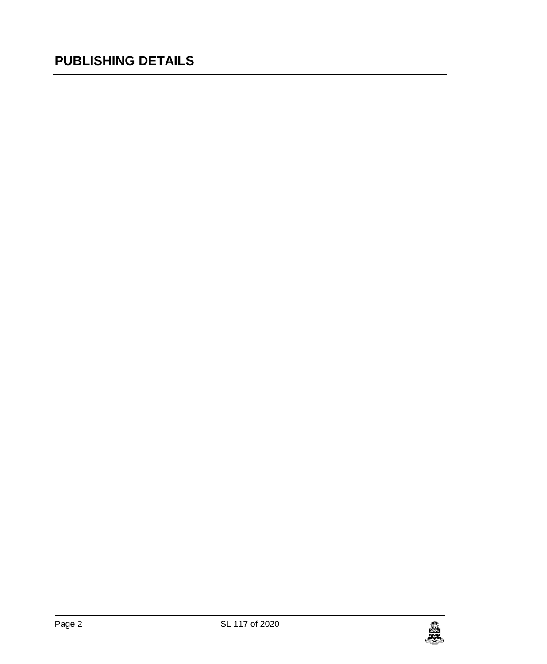# **PUBLISHING DETAILS**

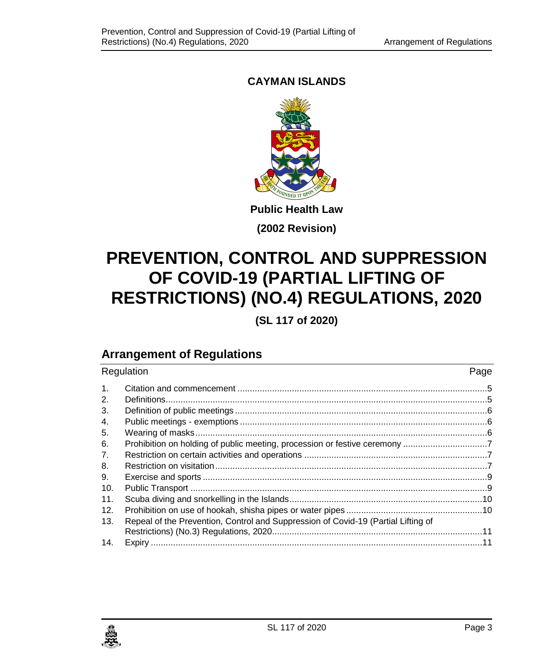## **CAYMAN ISLANDS**



**(2002 Revision)**

# **PREVENTION, CONTROL AND SUPPRESSION OF COVID-19 (PARTIAL LIFTING OF RESTRICTIONS) (NO.4) REGULATIONS, 2020**

**(SL 117 of 2020)**

## **Arrangement of Regulations**

| Regulation     |                                                                                   | Page |
|----------------|-----------------------------------------------------------------------------------|------|
| $\mathbf{1}$ . |                                                                                   |      |
| 2.             |                                                                                   |      |
| 3.             |                                                                                   |      |
| 4.             |                                                                                   |      |
| 5.             |                                                                                   |      |
| 6.             |                                                                                   |      |
| 7.             |                                                                                   |      |
| 8.             |                                                                                   |      |
| 9.             |                                                                                   |      |
| 10.            |                                                                                   |      |
| 11.            |                                                                                   |      |
| 12.            |                                                                                   |      |
| 13.            | Repeal of the Prevention, Control and Suppression of Covid-19 (Partial Lifting of |      |
| 14.            |                                                                                   |      |

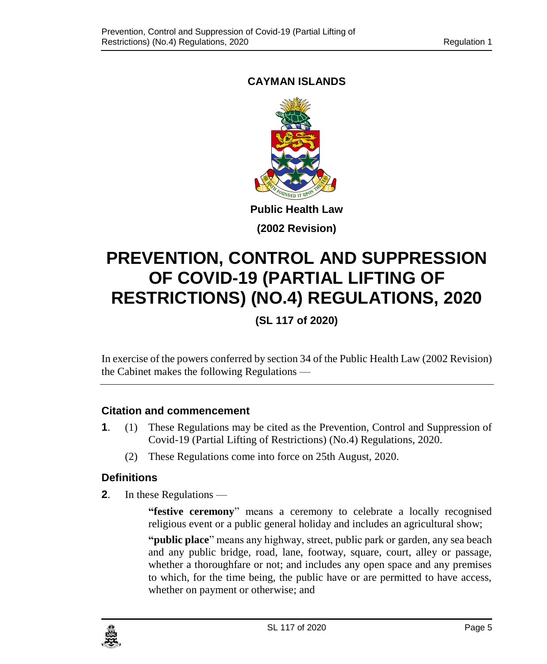## <span id="page-4-0"></span>**CAYMAN ISLANDS**



**(2002 Revision)**

# **PREVENTION, CONTROL AND SUPPRESSION OF COVID-19 (PARTIAL LIFTING OF RESTRICTIONS) (NO.4) REGULATIONS, 2020**

**(SL 117 of 2020)**

In exercise of the powers conferred by section 34 of the Public Health Law (2002 Revision) the Cabinet makes the following Regulations —

#### **1. Citation and commencement**

- **1**. (1) These Regulations may be cited as the Prevention, Control and Suppression of Covid-19 (Partial Lifting of Restrictions) (No.4) Regulations, 2020.
	- (2) These Regulations come into force on 25th August, 2020.

#### <span id="page-4-1"></span>**2. Definitions**

**2**. In these Regulations —

**"festive ceremony**" means a ceremony to celebrate a locally recognised religious event or a public general holiday and includes an agricultural show;

**"public place**" means any highway, street, public park or garden, any sea beach and any public bridge, road, lane, footway, square, court, alley or passage, whether a thoroughfare or not; and includes any open space and any premises to which, for the time being, the public have or are permitted to have access, whether on payment or otherwise; and

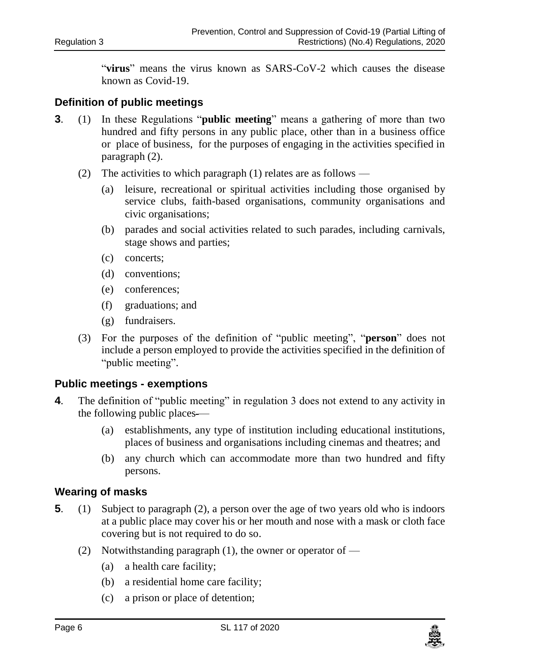"**virus**" means the virus known as SARS-CoV-2 which causes the disease known as Covid-19.

#### <span id="page-5-0"></span>**3. Definition of public meetings**

- **3**. (1) In these Regulations "**public meeting**" means a gathering of more than two hundred and fifty persons in any public place, other than in a business office or place of business, for the purposes of engaging in the activities specified in paragraph (2).
	- (2) The activities to which paragraph  $(1)$  relates are as follows
		- (a) leisure, recreational or spiritual activities including those organised by service clubs, faith-based organisations, community organisations and civic organisations;
		- (b) parades and social activities related to such parades, including carnivals, stage shows and parties;
		- (c) concerts;
		- (d) conventions;
		- (e) conferences;
		- (f) graduations; and
		- (g) fundraisers.
	- (3) For the purposes of the definition of "public meeting", "**person**" does not include a person employed to provide the activities specified in the definition of "public meeting".

#### <span id="page-5-1"></span>**4. Public meetings - exemptions**

- **4**. The definition of "public meeting" in regulation 3 does not extend to any activity in the following public places —
	- (a) establishments, any type of institution including educational institutions, places of business and organisations including cinemas and theatres; and
	- (b) any church which can accommodate more than two hundred and fifty persons.

#### <span id="page-5-2"></span>**5. Wearing of masks**

- **5**. (1) Subject to paragraph (2), a person over the age of two years old who is indoors at a public place may cover his or her mouth and nose with a mask or cloth face covering but is not required to do so.
	- (2) Notwithstanding paragraph  $(1)$ , the owner or operator of
		- (a) a health care facility;
		- (b) a residential home care facility;
		- (c) a prison or place of detention;

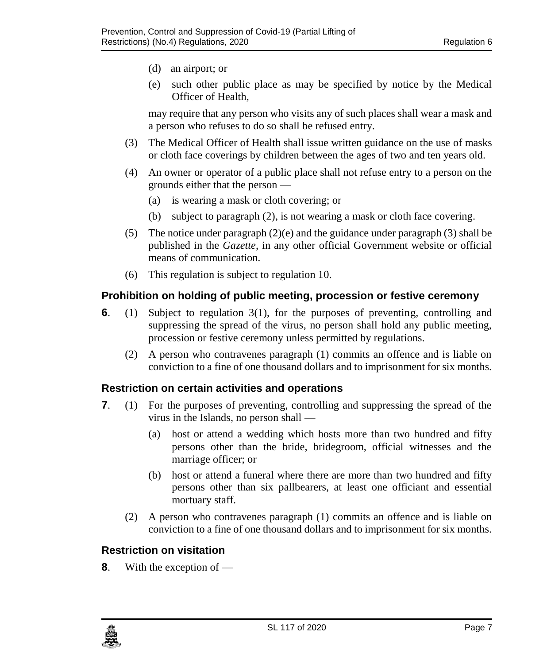- (d) an airport; or
- (e) such other public place as may be specified by notice by the Medical Officer of Health,

may require that any person who visits any of such places shall wear a mask and a person who refuses to do so shall be refused entry.

- (3) The Medical Officer of Health shall issue written guidance on the use of masks or cloth face coverings by children between the ages of two and ten years old.
- (4) An owner or operator of a public place shall not refuse entry to a person on the grounds either that the person —
	- (a) is wearing a mask or cloth covering; or
	- (b) subject to paragraph (2), is not wearing a mask or cloth face covering.
- (5) The notice under paragraph (2)(e) and the guidance under paragraph (3) shall be published in the *Gazette*, in any other official Government website or official means of communication.
- (6) This regulation is subject to regulation 10.

#### <span id="page-6-0"></span>**6. Prohibition on holding of public meeting, procession or festive ceremony**

- **6**. (1) Subject to regulation 3(1), for the purposes of preventing, controlling and suppressing the spread of the virus, no person shall hold any public meeting, procession or festive ceremony unless permitted by regulations.
	- (2) A person who contravenes paragraph (1) commits an offence and is liable on conviction to a fine of one thousand dollars and to imprisonment for six months.

#### <span id="page-6-1"></span>**7. Restriction on certain activities and operations**

- **7**. (1) For the purposes of preventing, controlling and suppressing the spread of the virus in the Islands, no person shall —
	- (a) host or attend a wedding which hosts more than two hundred and fifty persons other than the bride, bridegroom, official witnesses and the marriage officer; or
	- (b) host or attend a funeral where there are more than two hundred and fifty persons other than six pallbearers, at least one officiant and essential mortuary staff.
	- (2) A person who contravenes paragraph (1) commits an offence and is liable on conviction to a fine of one thousand dollars and to imprisonment for six months.

#### <span id="page-6-2"></span>**8. Restriction on visitation**

**8**. With the exception of —

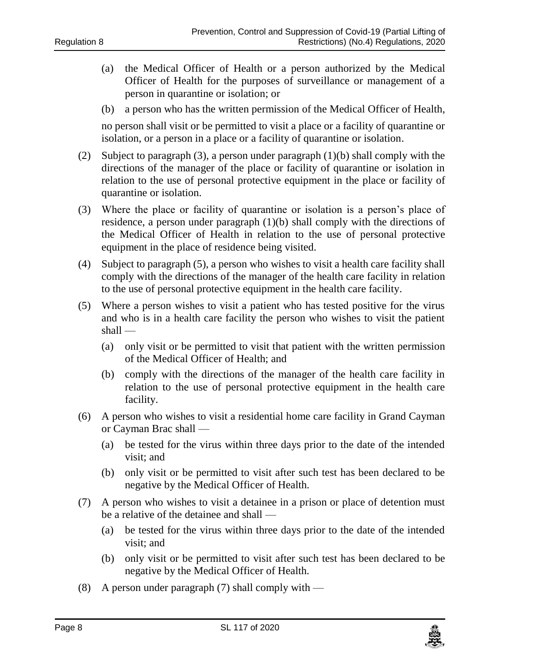- (a) the Medical Officer of Health or a person authorized by the Medical Officer of Health for the purposes of surveillance or management of a person in quarantine or isolation; or
- (b) a person who has the written permission of the Medical Officer of Health,

no person shall visit or be permitted to visit a place or a facility of quarantine or isolation, or a person in a place or a facility of quarantine or isolation.

- (2) Subject to paragraph (3), a person under paragraph  $(1)(b)$  shall comply with the directions of the manager of the place or facility of quarantine or isolation in relation to the use of personal protective equipment in the place or facility of quarantine or isolation.
- (3) Where the place or facility of quarantine or isolation is a person's place of residence, a person under paragraph (1)(b) shall comply with the directions of the Medical Officer of Health in relation to the use of personal protective equipment in the place of residence being visited.
- (4) Subject to paragraph (5), a person who wishes to visit a health care facility shall comply with the directions of the manager of the health care facility in relation to the use of personal protective equipment in the health care facility.
- (5) Where a person wishes to visit a patient who has tested positive for the virus and who is in a health care facility the person who wishes to visit the patient shall —
	- (a) only visit or be permitted to visit that patient with the written permission of the Medical Officer of Health; and
	- (b) comply with the directions of the manager of the health care facility in relation to the use of personal protective equipment in the health care facility.
- (6) A person who wishes to visit a residential home care facility in Grand Cayman or Cayman Brac shall —
	- (a) be tested for the virus within three days prior to the date of the intended visit; and
	- (b) only visit or be permitted to visit after such test has been declared to be negative by the Medical Officer of Health.
- (7) A person who wishes to visit a detainee in a prison or place of detention must be a relative of the detainee and shall —
	- (a) be tested for the virus within three days prior to the date of the intended visit; and
	- (b) only visit or be permitted to visit after such test has been declared to be negative by the Medical Officer of Health.
- (8) A person under paragraph  $(7)$  shall comply with —

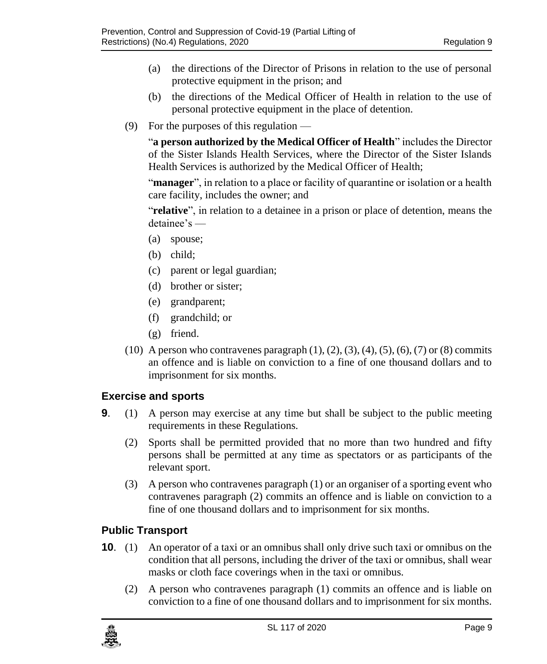- (a) the directions of the Director of Prisons in relation to the use of personal protective equipment in the prison; and
- (b) the directions of the Medical Officer of Health in relation to the use of personal protective equipment in the place of detention.
- (9) For the purposes of this regulation —

"**a person authorized by the Medical Officer of Health**" includes the Director of the Sister Islands Health Services, where the Director of the Sister Islands Health Services is authorized by the Medical Officer of Health;

"**manager**", in relation to a place or facility of quarantine or isolation or a health care facility, includes the owner; and

"**relative**", in relation to a detainee in a prison or place of detention, means the detainee's —

- (a) spouse;
- (b) child;
- (c) parent or legal guardian;
- (d) brother or sister;
- (e) grandparent;
- (f) grandchild; or
- (g) friend.
- (10) A person who contravenes paragraph  $(1)$ ,  $(2)$ ,  $(3)$ ,  $(4)$ ,  $(5)$ ,  $(6)$ ,  $(7)$  or  $(8)$  commits an offence and is liable on conviction to a fine of one thousand dollars and to imprisonment for six months.

#### <span id="page-8-0"></span>**9. Exercise and sports**

- **9**. (1) A person may exercise at any time but shall be subject to the public meeting requirements in these Regulations.
	- (2) Sports shall be permitted provided that no more than two hundred and fifty persons shall be permitted at any time as spectators or as participants of the relevant sport.
	- (3) A person who contravenes paragraph (1) or an organiser of a sporting event who contravenes paragraph (2) commits an offence and is liable on conviction to a fine of one thousand dollars and to imprisonment for six months.

#### <span id="page-8-1"></span>**10. Public Transport**

- **10**. (1) An operator of a taxi or an omnibus shall only drive such taxi or omnibus on the condition that all persons, including the driver of the taxi or omnibus, shall wear masks or cloth face coverings when in the taxi or omnibus.
	- (2) A person who contravenes paragraph (1) commits an offence and is liable on conviction to a fine of one thousand dollars and to imprisonment for six months.

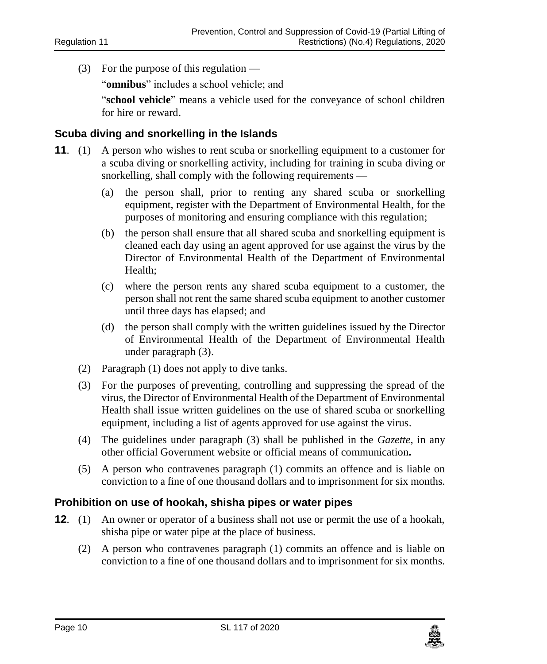(3) For the purpose of this regulation —

"**omnibus**" includes a school vehicle; and

"**school vehicle**" means a vehicle used for the conveyance of school children for hire or reward.

#### <span id="page-9-0"></span>**11. Scuba diving and snorkelling in the Islands**

- **11**. (1) A person who wishes to rent scuba or snorkelling equipment to a customer for a scuba diving or snorkelling activity, including for training in scuba diving or snorkelling, shall comply with the following requirements -
	- (a) the person shall, prior to renting any shared scuba or snorkelling equipment, register with the Department of Environmental Health, for the purposes of monitoring and ensuring compliance with this regulation;
	- (b) the person shall ensure that all shared scuba and snorkelling equipment is cleaned each day using an agent approved for use against the virus by the Director of Environmental Health of the Department of Environmental Health;
	- (c) where the person rents any shared scuba equipment to a customer, the person shall not rent the same shared scuba equipment to another customer until three days has elapsed; and
	- (d) the person shall comply with the written guidelines issued by the Director of Environmental Health of the Department of Environmental Health under paragraph (3).
	- (2) Paragraph (1) does not apply to dive tanks.
	- (3) For the purposes of preventing, controlling and suppressing the spread of the virus, the Director of Environmental Health of the Department of Environmental Health shall issue written guidelines on the use of shared scuba or snorkelling equipment, including a list of agents approved for use against the virus.
	- (4) The guidelines under paragraph (3) shall be published in the *Gazette*, in any other official Government website or official means of communication**.**
	- (5) A person who contravenes paragraph (1) commits an offence and is liable on conviction to a fine of one thousand dollars and to imprisonment for six months.

#### <span id="page-9-1"></span>**12. Prohibition on use of hookah, shisha pipes or water pipes**

- **12.** (1) An owner or operator of a business shall not use or permit the use of a hookah, shisha pipe or water pipe at the place of business.
	- (2) A person who contravenes paragraph (1) commits an offence and is liable on conviction to a fine of one thousand dollars and to imprisonment for six months.